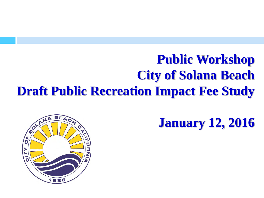#### **Public Workshop City of Solana Beach Draft Public Recreation Impact Fee Study**

**January 12, 2016**

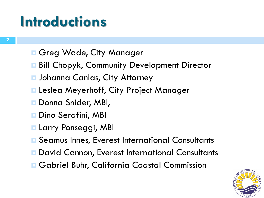## **Introductions**

- **E** Greg Wade, City Manager
- **Bill Chopyk, Community Development Director**
- **<u>n</u> Johanna Canlas, City Attorney**
- **E** Leslea Meyerhoff, City Project Manager
- Donna Snider, MBI,
- **□** Dino Serafini, MBI
- **Larry Ponseggi, MBI**
- **□ Seamus Innes, Everest International Consultants**
- **David Cannon, Everest International Consultants**
- **Gabriel Buhr, California Coastal Commission**

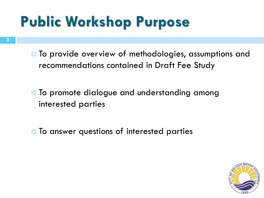# **Public Workshop Purpose**

**T** To provide overview of methodologies, assumptions and recommendations contained in Draft Fee Study

- **T** To promote dialogue and understanding among interested parties
- $\blacksquare$  To answer questions of interested parties

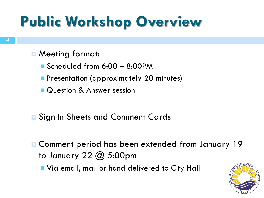# **Public Workshop Overview**

#### **□ Meeting format:**

- Scheduled from 6:00 8:00PM
- **Presentation (approximately 20 minutes)**
- Question & Answer session
- **E** Sign In Sheets and Comment Cards
- **E** Comment period has been extended from January 19 to January 22 @ 5:00pm

**Notal Edger** Via email, mail or hand delivered to City Hall

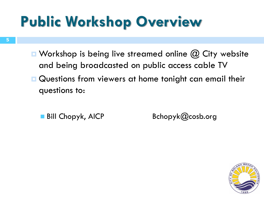# **Public Workshop Overview**

- $\blacksquare$  Workshop is being live streamed online  $\omega$  City website and being broadcasted on public access cable TV
- **Questions from viewers at home tonight can email their** questions to:
	-

Bill Chopyk, AICP Bchopyk@cosb.org

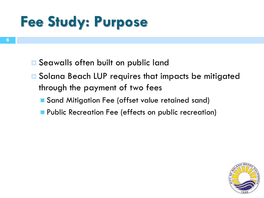# **Fee Study: Purpose**

- **□** Seawalls often built on public land
- **□** Solana Beach LUP requires that impacts be mitigated through the payment of two fees
	- Sand Mitigation Fee (offset value retained sand)
	- **Public Recreation Fee (effects on public recreation)**

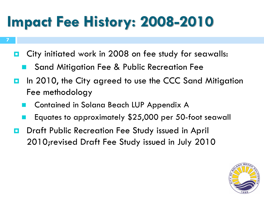# **Impact Fee History: 2008-2010**

- **D** City initiated work in 2008 on fee study for seawalls:
	- Sand Mitigation Fee & Public Recreation Fee
- In 2010, the City agreed to use the CCC Sand Mitigation Fee methodology
	- Contained in Solana Beach LUP Appendix A
	- Equates to approximately \$25,000 per 50-foot seawall
- **D** Draft Public Recreation Fee Study issued in April 2010;revised Draft Fee Study issued in July 2010

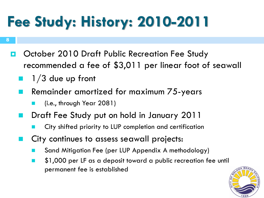# **Fee Study: History: 2010-2011**

- **8**
	- **D** October 2010 Draft Public Recreation Fee Study recommended a fee of \$3,011 per linear foot of seawall
		- 1/3 due up front
		- Remainder amortized for maximum 75-years
			- (i.e., through Year 2081)
		- Draft Fee Study put on hold in January 2011
			- City shifted priority to LUP completion and certification
		- City continues to assess seawall projects:
			- Sand Mitigation Fee (per LUP Appendix A methodology)
			- \$1,000 per LF as a deposit toward a public recreation fee until permanent fee is established

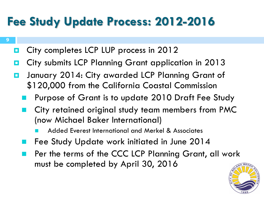#### **Fee Study Update Process: 2012-2016**

**D** City completes LCP LUP process in 2012

- **D** City submits LCP Planning Grant application in 2013
- **D** January 2014: City awarded LCP Planning Grant of \$120,000 from the California Coastal Commission
	- Purpose of Grant is to update 2010 Draft Fee Study
	- City retained original study team members from PMC (now Michael Baker International)
		- Added Everest International and Merkel & Associates
	- Fee Study Update work initiated in June 2014
	- Per the terms of the CCC LCP Planning Grant, all work must be completed by April 30, 2016

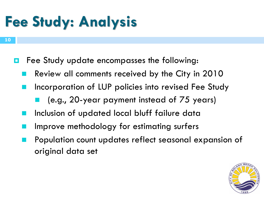# **Fee Study: Analysis**

- **E** Fee Study update encompasses the following:
	- Review all comments received by the City in 2010
	- Incorporation of LUP policies into revised Fee Study
		- (e.g., 20-year payment instead of 75 years)
	- Inclusion of updated local bluff failure data
	- Improve methodology for estimating surfers
	- Population count updates reflect seasonal expansion of original data set

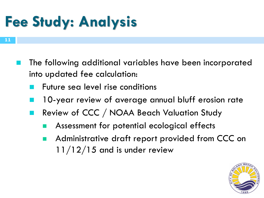# **Fee Study: Analysis**

- The following additional variables have been incorporated into updated fee calculation:
	- Future sea level rise conditions
	- 10-year review of average annual bluff erosion rate
	- Review of CCC / NOAA Beach Valuation Study
		- Assessment for potential ecological effects
		- Administrative draft report provided from CCC on  $11/12/15$  and is under review

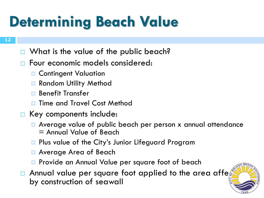# **Determining Beach Value**

- What is the value of the public beach?
- Four economic models considered:
	- **E** Contingent Valuation
	- **Random Utility Method**
	- **Benefit Transfer**
	- Time and Travel Cost Method
- Key components include:
	- **E** Average value of public beach per person x annual attendance = Annual Value of Beach
	- **Pa** Plus value of the City's Junior Lifeguard Program
	- Average Area of Beach
	- **Provide an Annual Value per square foot of beach**
- Annual value per square foot applied to the area affe by construction of seawall

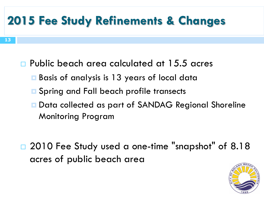- Public beach area calculated at 15.5 acres
	- Basis of analysis is 13 years of local data
	- **□** Spring and Fall beach profile transects
	- **Data collected as part of SANDAG Regional Shoreline** Monitoring Program
- □ 2010 Fee Study used a one-time "snapshot" of 8.18 acres of public beach area

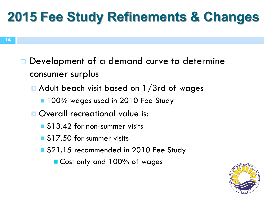- Development of a demand curve to determine consumer surplus
	- Adult beach visit based on 1/3rd of wages
		- **100%** wages used in 2010 Fee Study
	- **D** Overall recreational value is:
		- \$13.42 for non-summer visits
		- \$17.50 for summer visits
		- \$21.15 recommended in 2010 Fee Study
			- Cost only and 100% of wages

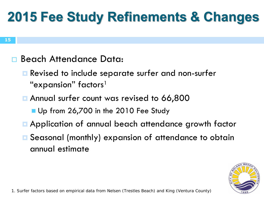

#### Beach Attendance Data:

- **E** Revised to include separate surfer and non-surfer "expansion" factors<sup>1</sup>
- **Annual surfer count was revised to 66,800** 
	- Up from 26,700 in the 2010 Fee Study
- **E** Application of annual beach attendance growth factor
- **E** Seasonal (monthly) expansion of attendance to obtain annual estimate

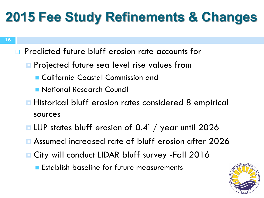- **16**
- **Predicted future bluff erosion rate accounts for** 
	- **Projected future sea level rise values from** 
		- California Coastal Commission and
		- National Research Council
	- **Historical bluff erosion rates considered 8 empirical** sources
	- LUP states bluff erosion of 0.4' / year until 2026
	- Assumed increased rate of bluff erosion after 2026
	- **E City will conduct LIDAR bluff survey -Fall 2016** 
		- **Establish baseline for future measurements**

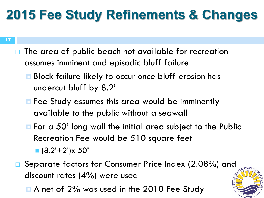- **17**
- $\Box$  The area of public beach not available for recreation assumes imminent and episodic bluff failure
	- **B** Block failure likely to occur once bluff erosion has undercut bluff by 8.2'
	- **E** Fee Study assumes this area would be imminently available to the public without a seawall
	- **For a 50' long wall the initial area subject to the Public** Recreation Fee would be 510 square feet  $(8.2' + 2') \times 50'$
- □ Separate factors for Consumer Price Index (2.08%) and discount rates (4%) were used
	- A net of 2% was used in the 2010 Fee Study

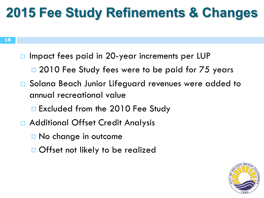- □ Impact fees paid in 20-year increments per LUP
	- 2010 Fee Study fees were to be paid for 75 years
- □ Solana Beach Junior Lifeguard revenues were added to annual recreational value
	- **Excluded from the 2010 Fee Study**
- Additional Offset Credit Analysis
	- **□ No change in outcome**
	- **Offset not likely to be realized**

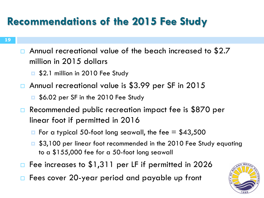#### **Recommendations of the 2015 Fee Study**

- Annual recreational value of the beach increased to \$2.7 million in 2015 dollars
	- **E** \$2.1 million in 2010 Fee Study
- □ Annual recreational value is \$3.99 per SF in 2015
	- **E** \$6.02 per SF in the 2010 Fee Study
- □ Recommended public recreation impact fee is \$870 per linear foot if permitted in 2016
	- $\blacksquare$  For a typical 50-foot long seawall, the fee = \$43,500
	- \$3,100 per linear foot recommended in the 2010 Fee Study equating to a \$155,000 fee for a 50-foot long seawall
- Fee increases to \$1,311 per LF if permitted in 2026
- Fees cover 20-year period and payable up front

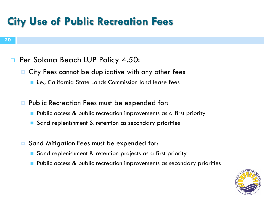#### **City Use of Public Recreation Fees**

#### **20**

#### **Per Solana Beach LUP Policy 4.50:**

- **E** City Fees cannot be duplicative with any other fees
	- i.e., California State Lands Commission land lease fees
- **Public Recreation Fees must be expended for:** 
	- Public access & public recreation improvements as a first priority
	- Sand replenishment & retention as secondary priorities
- **E** Sand Mitigation Fees must be expended for:
	- Sand replenishment & retention projects as a first priority
	- Public access & public recreation improvements as secondary priorities

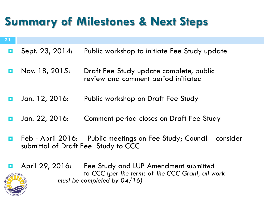#### **Summary of Milestones & Next Steps**

**21**

- Sept. 23, 2014: Public workshop to initiate Fee Study update
- **Nov.** 18, 2015: Draft Fee Study update complete, public review and comment period initiated
- **D** Jan. 12, 2016: Public workshop on Draft Fee Study
- **D** Jan. 22, 2016: Comment period closes on Draft Fee Study
- **E** Feb April 2016: Public meetings on Fee Study; Council consider submittal of Draft Fee Study to CCC
- **2 E** April 29, 2016: Fee Study and LUP Amendment submitted to CCC (*per the terms of the CCC Grant, all work must be completed by 04/16)*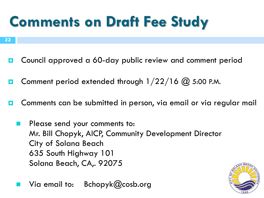# **Comments on Draft Fee Study**

- **22**
	- **D** Council approved a 60-day public review and comment period
	- **D** Comment period extended through  $1/22/16$   $\omega$  5:00 P.M.
	- **O** Comments can be submitted in person, via email or via regular mail
		- Please send your comments to: Mr. Bill Chopyk, AICP, Community Development Director City of Solana Beach 635 South Highway 101 Solana Beach, CA,. 92075
			- Via email to: Bchopyk@cosb.org